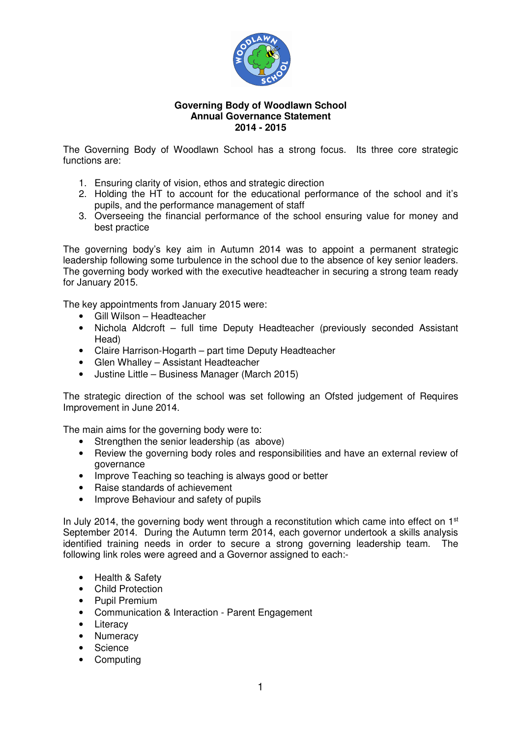

## **Governing Body of Woodlawn School Annual Governance Statement 2014 - 2015**

The Governing Body of Woodlawn School has a strong focus. Its three core strategic functions are:

- 1. Ensuring clarity of vision, ethos and strategic direction
- 2. Holding the HT to account for the educational performance of the school and it's pupils, and the performance management of staff
- 3. Overseeing the financial performance of the school ensuring value for money and best practice

The governing body's key aim in Autumn 2014 was to appoint a permanent strategic leadership following some turbulence in the school due to the absence of key senior leaders. The governing body worked with the executive headteacher in securing a strong team ready for January 2015.

The key appointments from January 2015 were:

- Gill Wilson Headteacher
- Nichola Aldcroft full time Deputy Headteacher (previously seconded Assistant Head)
- Claire Harrison-Hogarth part time Deputy Headteacher
- Glen Whalley Assistant Headteacher
- Justine Little Business Manager (March 2015)

The strategic direction of the school was set following an Ofsted judgement of Requires Improvement in June 2014.

The main aims for the governing body were to:

- Strengthen the senior leadership (as above)
- Review the governing body roles and responsibilities and have an external review of governance
- Improve Teaching so teaching is always good or better
- Raise standards of achievement
- Improve Behaviour and safety of pupils

In July 2014, the governing body went through a reconstitution which came into effect on  $1<sup>st</sup>$ September 2014. During the Autumn term 2014, each governor undertook a skills analysis identified training needs in order to secure a strong governing leadership team. The following link roles were agreed and a Governor assigned to each:-

- Health & Safety
- Child Protection
- Pupil Premium
- Communication & Interaction Parent Engagement
- Literacy
- Numeracy
- Science
- Computing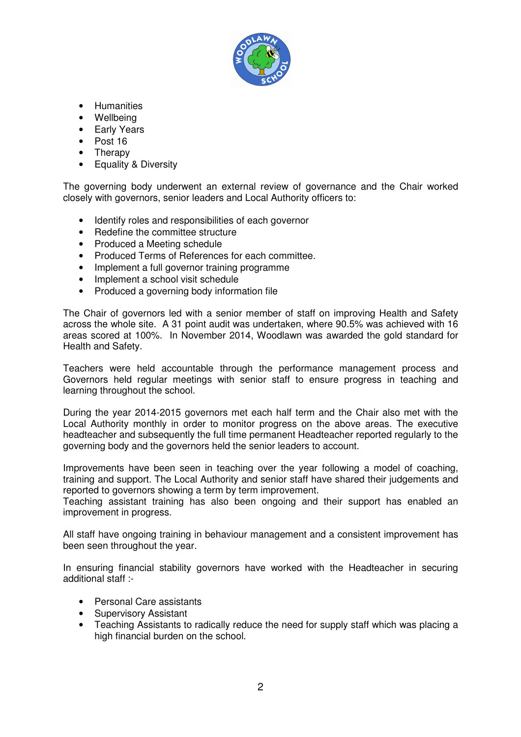

- Humanities
- Wellbeing
- Early Years
- Post 16
- Therapy
- Equality & Diversity

The governing body underwent an external review of governance and the Chair worked closely with governors, senior leaders and Local Authority officers to:

- Identify roles and responsibilities of each governor
- Redefine the committee structure
- Produced a Meeting schedule
- Produced Terms of References for each committee.
- Implement a full governor training programme
- Implement a school visit schedule
- Produced a governing body information file

The Chair of governors led with a senior member of staff on improving Health and Safety across the whole site. A 31 point audit was undertaken, where 90.5% was achieved with 16 areas scored at 100%. In November 2014, Woodlawn was awarded the gold standard for Health and Safety.

Teachers were held accountable through the performance management process and Governors held regular meetings with senior staff to ensure progress in teaching and learning throughout the school.

During the year 2014-2015 governors met each half term and the Chair also met with the Local Authority monthly in order to monitor progress on the above areas. The executive headteacher and subsequently the full time permanent Headteacher reported regularly to the governing body and the governors held the senior leaders to account.

Improvements have been seen in teaching over the year following a model of coaching, training and support. The Local Authority and senior staff have shared their judgements and reported to governors showing a term by term improvement.

Teaching assistant training has also been ongoing and their support has enabled an improvement in progress.

All staff have ongoing training in behaviour management and a consistent improvement has been seen throughout the year.

In ensuring financial stability governors have worked with the Headteacher in securing additional staff :-

- Personal Care assistants
- Supervisory Assistant
- Teaching Assistants to radically reduce the need for supply staff which was placing a high financial burden on the school.